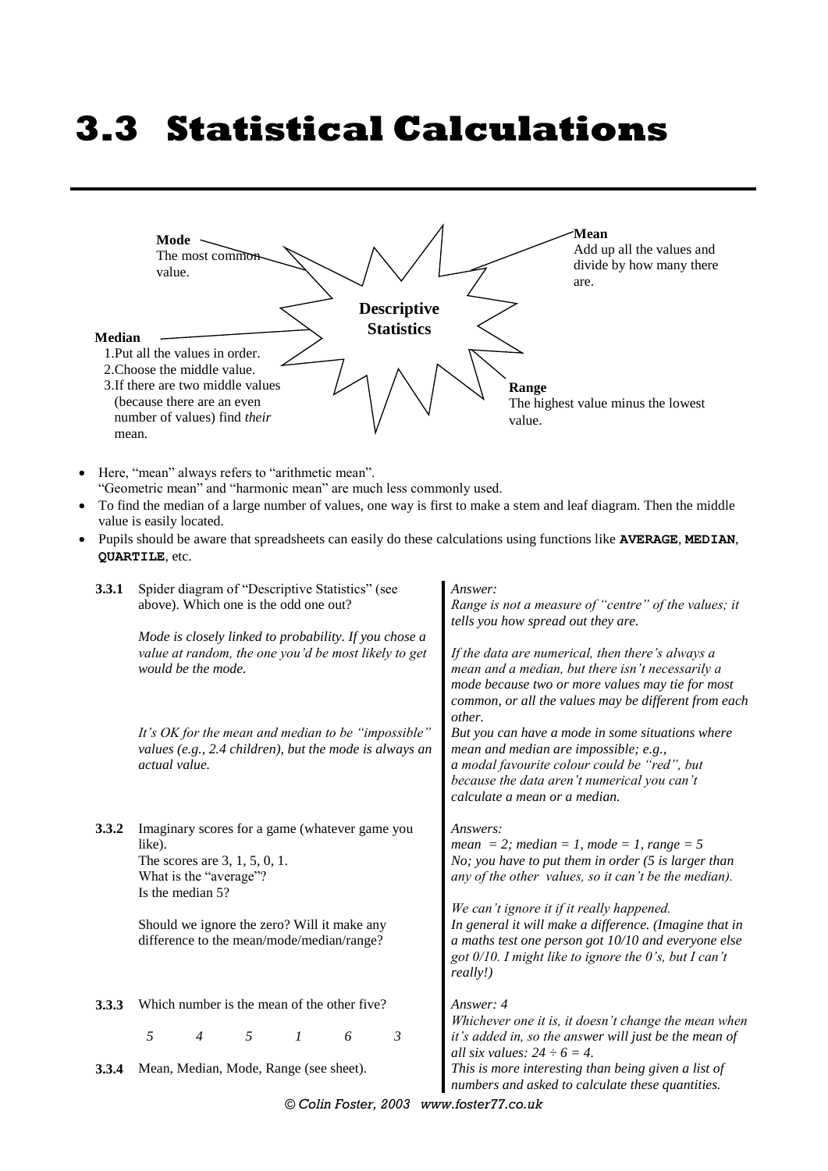# **3.3 Statistical Calculations**



- Here, "mean" always refers to "arithmetic mean". "Geometric mean" and "harmonic mean" are much less commonly used.
- To find the median of a large number of values, one way is first to make a stem and leaf diagram. Then the middle value is easily located.
- Pupils should be aware that spreadsheets can easily do these calculations using functions like **AVERAGE**, **MEDIAN**, **QUARTILE**, etc.

| 3.3.1 | Spider diagram of "Descriptive Statistics" (see<br>above). Which one is the odd one out?                                                   | Answer:<br>Range is not a measure of "centre" of the values; it<br>tells you how spread out they are.<br>If the data are numerical, then there's always a<br>mean and a median, but there isn't necessarily a<br>mode because two or more values may tie for most<br>common, or all the values may be different from each<br>other.<br>But you can have a mode in some situations where<br>mean and median are impossible; e.g.,<br>a modal favourite colour could be "red", but<br>because the data aren't numerical you can't<br>calculate a mean or a median. |  |  |  |  |
|-------|--------------------------------------------------------------------------------------------------------------------------------------------|------------------------------------------------------------------------------------------------------------------------------------------------------------------------------------------------------------------------------------------------------------------------------------------------------------------------------------------------------------------------------------------------------------------------------------------------------------------------------------------------------------------------------------------------------------------|--|--|--|--|
|       | Mode is closely linked to probability. If you chose a<br>value at random, the one you'd be most likely to get<br>would be the mode.        |                                                                                                                                                                                                                                                                                                                                                                                                                                                                                                                                                                  |  |  |  |  |
|       | It's OK for the mean and median to be "impossible"<br>values (e.g., $2.4$ children), but the mode is always an<br>actual value.            |                                                                                                                                                                                                                                                                                                                                                                                                                                                                                                                                                                  |  |  |  |  |
| 3.3.2 | Imaginary scores for a game (whatever game you<br>like).<br>The scores are $3, 1, 5, 0, 1$ .<br>What is the "average"?<br>Is the median 5? | Answers:<br>mean = 2; median = 1, mode = 1, range = 5<br>No; you have to put them in order $(5$ is larger than<br>any of the other values, so it can't be the median).<br>We can't ignore it if it really happened.                                                                                                                                                                                                                                                                                                                                              |  |  |  |  |
|       | Should we ignore the zero? Will it make any<br>difference to the mean/mode/median/range?                                                   | In general it will make a difference. (Imagine that in<br>a maths test one person got 10/10 and everyone else<br>got $0/10$ . I might like to ignore the 0's, but I can't<br>really!)                                                                                                                                                                                                                                                                                                                                                                            |  |  |  |  |
| 3.3.3 | Which number is the mean of the other five?<br>5<br>5<br>$\boldsymbol{l}$<br>$\mathfrak{Z}$<br>6<br>$\overline{4}$                         | Answer: 4<br>Whichever one it is, it doesn't change the mean when<br>it's added in, so the answer will just be the mean of<br>all six values: $24 \div 6 = 4$ .                                                                                                                                                                                                                                                                                                                                                                                                  |  |  |  |  |
| 3.3.4 | Mean, Median, Mode, Range (see sheet).                                                                                                     | This is more interesting than being given a list of<br>numbers and asked to calculate these quantities.                                                                                                                                                                                                                                                                                                                                                                                                                                                          |  |  |  |  |

*© Colin Foster, 2003 www.foster77.co.uk*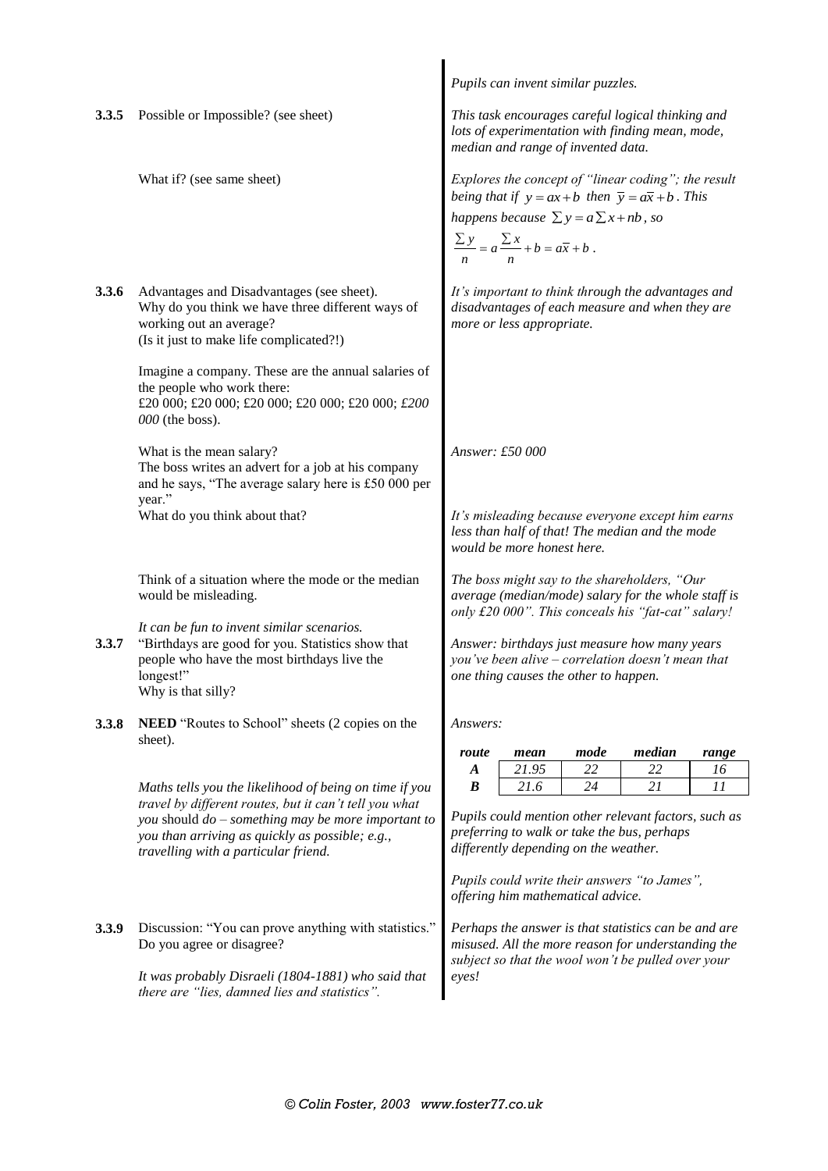|       |                                                                                                                                                                                                           | Pupils can invent similar puzzles.                                                                                                                                                                                                                     |  |  |  |  |  |
|-------|-----------------------------------------------------------------------------------------------------------------------------------------------------------------------------------------------------------|--------------------------------------------------------------------------------------------------------------------------------------------------------------------------------------------------------------------------------------------------------|--|--|--|--|--|
| 3.3.5 | Possible or Impossible? (see sheet)                                                                                                                                                                       | This task encourages careful logical thinking and<br>lots of experimentation with finding mean, mode,<br>median and range of invented data.                                                                                                            |  |  |  |  |  |
|       | What if? (see same sheet)                                                                                                                                                                                 | Explores the concept of "linear coding"; the result<br>being that if $y = ax + b$ then $\overline{y} = a\overline{x} + b$ . This<br>happens because $\sum y = a \sum x + nb$ , so<br>$\frac{\sum y}{n} = a \frac{\sum x}{n} + b = a\overline{x} + b$ . |  |  |  |  |  |
| 3.3.6 | Advantages and Disadvantages (see sheet).<br>Why do you think we have three different ways of<br>working out an average?<br>(Is it just to make life complicated?!)                                       | It's important to think through the advantages and<br>disadvantages of each measure and when they are<br>more or less appropriate.                                                                                                                     |  |  |  |  |  |
|       | Imagine a company. These are the annual salaries of<br>the people who work there:<br>£20 000; £20 000; £20 000; £20 000; £20 000; £200<br>000 (the boss).                                                 |                                                                                                                                                                                                                                                        |  |  |  |  |  |
|       | What is the mean salary?<br>The boss writes an advert for a job at his company<br>and he says, "The average salary here is £50 000 per                                                                    | Answer: £50 000                                                                                                                                                                                                                                        |  |  |  |  |  |
|       | year."<br>What do you think about that?                                                                                                                                                                   | It's misleading because everyone except him earns<br>less than half of that! The median and the mode<br>would be more honest here.                                                                                                                     |  |  |  |  |  |
|       | Think of a situation where the mode or the median<br>would be misleading.                                                                                                                                 | The boss might say to the shareholders, "Our<br>average (median/mode) salary for the whole staff is<br>only £20 000". This conceals his "fat-cat" salary!                                                                                              |  |  |  |  |  |
| 3.3.7 | It can be fun to invent similar scenarios.<br>"Birthdays are good for you. Statistics show that<br>people who have the most birthdays live the<br>longest!"<br>Why is that silly?                         | Answer: birthdays just measure how many years<br>you've been alive - correlation doesn't mean that<br>one thing causes the other to happen.                                                                                                            |  |  |  |  |  |
| 3.3.8 | <b>NEED</b> "Routes to School" sheets (2 copies on the<br>sheet).                                                                                                                                         | Answers:<br>median<br>mode<br>route<br>mean<br>range                                                                                                                                                                                                   |  |  |  |  |  |
|       |                                                                                                                                                                                                           | 21.95<br>22<br>22<br>$\boldsymbol{A}$<br>16                                                                                                                                                                                                            |  |  |  |  |  |
|       | Maths tells you the likelihood of being on time if you                                                                                                                                                    | 21.6<br>11<br>$\boldsymbol{B}$<br>24<br>21                                                                                                                                                                                                             |  |  |  |  |  |
|       | travel by different routes, but it can't tell you what<br>you should $do$ – something may be more important to<br>you than arriving as quickly as possible; e.g.,<br>travelling with a particular friend. | Pupils could mention other relevant factors, such as<br>preferring to walk or take the bus, perhaps<br>differently depending on the weather.                                                                                                           |  |  |  |  |  |
|       |                                                                                                                                                                                                           | Pupils could write their answers "to James",<br>offering him mathematical advice.                                                                                                                                                                      |  |  |  |  |  |
| 3.3.9 | Discussion: "You can prove anything with statistics."<br>Do you agree or disagree?                                                                                                                        | Perhaps the answer is that statistics can be and are<br>misused. All the more reason for understanding the<br>subject so that the wool won't be pulled over your<br>eyes!                                                                              |  |  |  |  |  |
|       | It was probably Disraeli (1804-1881) who said that<br>there are "lies, damned lies and statistics".                                                                                                       |                                                                                                                                                                                                                                                        |  |  |  |  |  |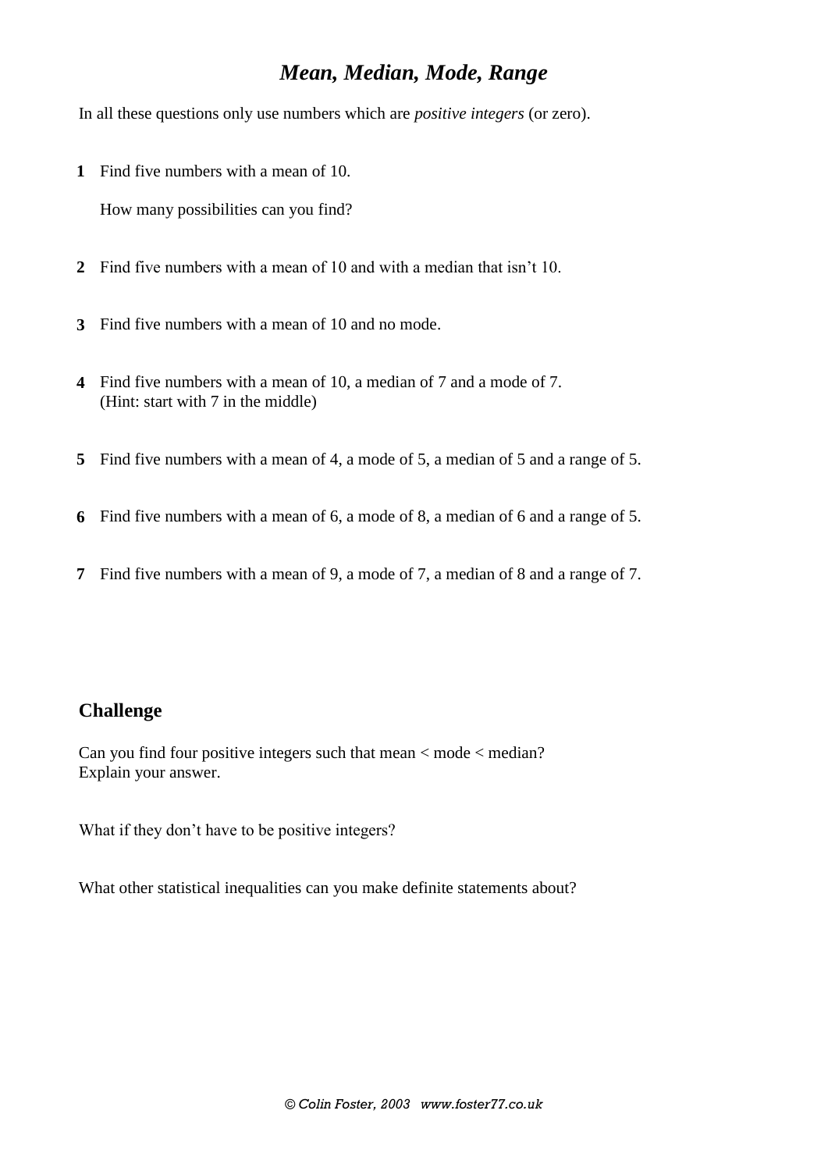## *Mean, Median, Mode, Range*

In all these questions only use numbers which are *positive integers* (or zero).

**1** Find five numbers with a mean of 10.

How many possibilities can you find?

- **2** Find five numbers with a mean of 10 and with a median that isn't 10.
- **3** Find five numbers with a mean of 10 and no mode.
- **4** Find five numbers with a mean of 10, a median of 7 and a mode of 7. (Hint: start with 7 in the middle)
- **5** Find five numbers with a mean of 4, a mode of 5, a median of 5 and a range of 5.
- **6** Find five numbers with a mean of 6, a mode of 8, a median of 6 and a range of 5.
- **7** Find five numbers with a mean of 9, a mode of 7, a median of 8 and a range of 7.

#### **Challenge**

Can you find four positive integers such that mean < mode < median? Explain your answer.

What if they don't have to be positive integers?

What other statistical inequalities can you make definite statements about?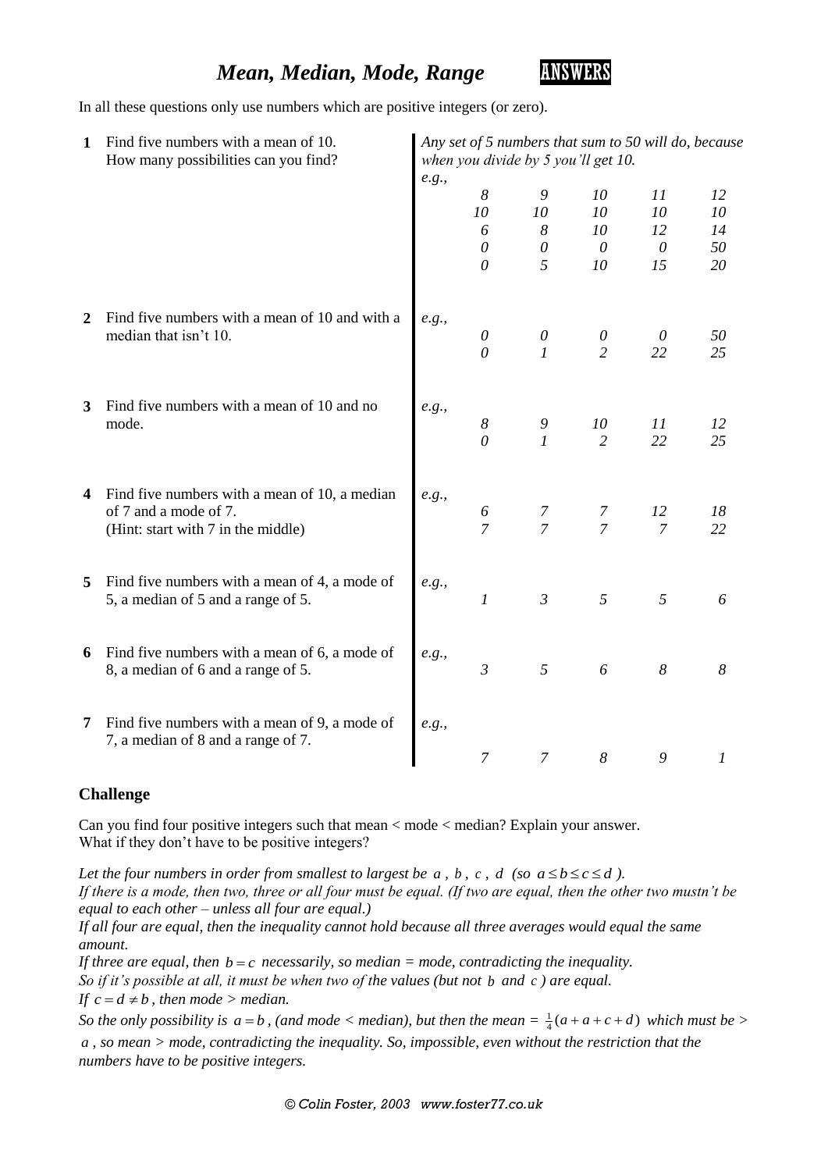## *Mean, Median, Mode, Range* **ANSWERS**



In all these questions only use numbers which are positive integers (or zero).

| 1 | Find five numbers with a mean of 10.<br>How many possibilities can you find?                                 |       | Any set of 5 numbers that sum to 50 will do, because<br>when you divide by 5 you'll get 10. |                     |                      |                      |                  |  |  |
|---|--------------------------------------------------------------------------------------------------------------|-------|---------------------------------------------------------------------------------------------|---------------------|----------------------|----------------------|------------------|--|--|
|   |                                                                                                              | e.g., | 8<br>10                                                                                     | 9<br>10             | 10<br>10             | 11<br>10             | 12<br>10         |  |  |
|   |                                                                                                              |       | 6<br>$\theta$<br>$\theta$                                                                   | 8<br>$\theta$<br>5  | 10<br>$\theta$<br>10 | 12<br>$\theta$<br>15 | 14<br>50<br>20   |  |  |
| 2 | Find five numbers with a mean of 10 and with a<br>median that isn't 10.                                      | e.g., | $\boldsymbol{\mathit{0}}$                                                                   | $\theta$            | $\theta$             | $\theta$             | 50               |  |  |
| 3 | Find five numbers with a mean of 10 and no                                                                   | e.g., | $\theta$                                                                                    | $\boldsymbol{l}$    | $\overline{2}$       | 22                   | 25               |  |  |
|   | mode.                                                                                                        |       | $\boldsymbol{8}$<br>$\theta$                                                                | 9<br>$\mathfrak{1}$ | 10<br>$\overline{2}$ | 11<br>22             | 12<br>25         |  |  |
| 4 | Find five numbers with a mean of 10, a median<br>of 7 and a mode of 7.<br>(Hint: start with 7 in the middle) | e.g., | 6<br>$\overline{7}$                                                                         | 7<br>$\overline{7}$ | 7<br>$\overline{7}$  | 12<br>$\overline{7}$ | 18<br>22         |  |  |
| 5 | Find five numbers with a mean of 4, a mode of<br>5, a median of 5 and a range of 5.                          | e.g., | $\boldsymbol{l}$                                                                            | $\mathfrak{Z}$      | 5                    | 5                    | 6                |  |  |
| 6 | Find five numbers with a mean of 6, a mode of<br>8, a median of 6 and a range of 5.                          | e.g., | $\mathfrak{Z}$                                                                              | 5                   | 6                    | $\delta$             | 8                |  |  |
| 7 | Find five numbers with a mean of 9, a mode of<br>7, a median of 8 and a range of 7.                          | e.g., | $\overline{7}$                                                                              | $\overline{7}$      | 8                    | 9                    | $\boldsymbol{l}$ |  |  |

#### **Challenge**

Can you find four positive integers such that mean < mode < median? Explain your answer. What if they don't have to be positive integers?

*Let the four numbers in order from smallest to largest be*  $a$ *,*  $b$ *,*  $c$ *,*  $d$  *(so*  $a \le b \le c \le d$ *). If there is a mode, then two, three or all four must be equal. (If two are equal, then the other two mustn't be equal to each other – unless all four are equal.)*

*If all four are equal, then the inequality cannot hold because all three averages would equal the same amount.*

If three are equal, then  $b = c$  necessarily, so median  $=$  mode, contradicting the inequality. *So if it's possible at all, it must be when two of the values (but not b and c) are equal. If*  $c = d \neq b$ , then mode > median.

*So the only possibility is*  $a = b$ *, (and mode < median), but then the mean* =  $\frac{1}{4}(a + a + c + d)$  which must be >

*a , so mean > mode, contradicting the inequality. So, impossible, even without the restriction that the numbers have to be positive integers.*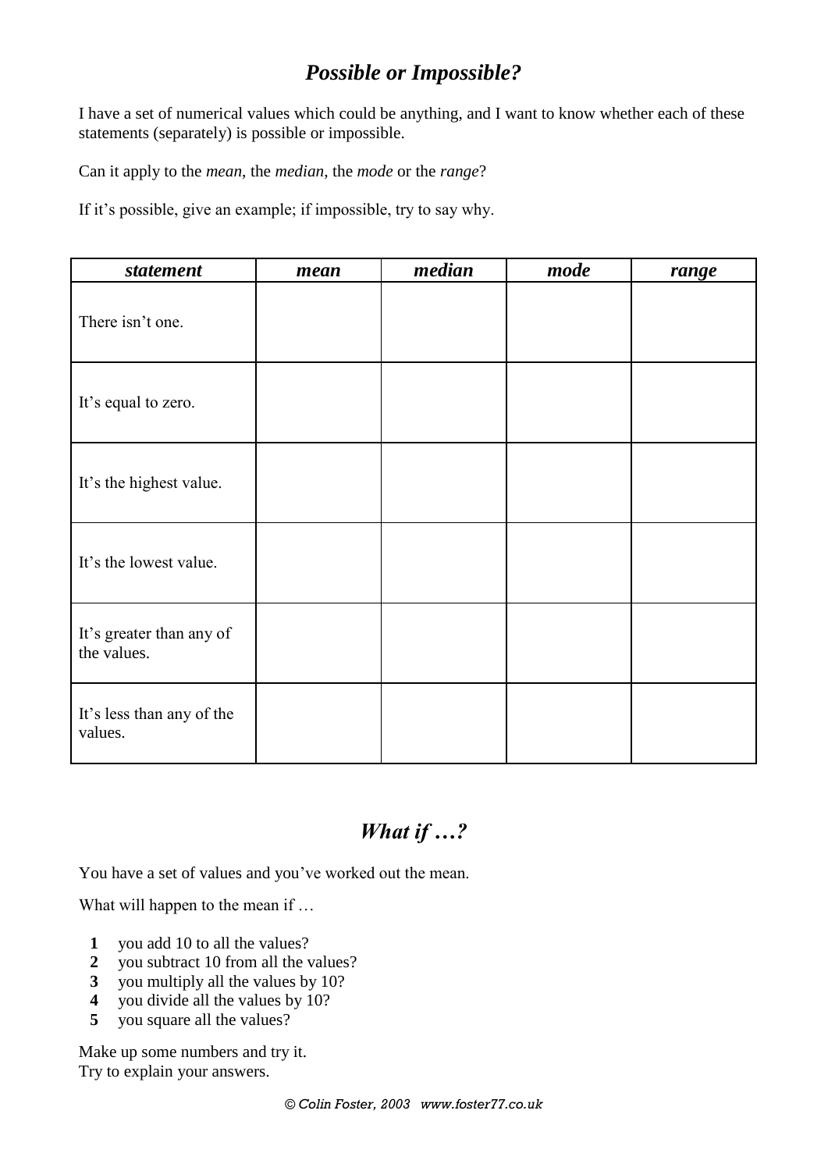# *Possible or Impossible?*

I have a set of numerical values which could be anything, and I want to know whether each of these statements (separately) is possible or impossible.

Can it apply to the *mean*, the *median*, the *mode* or the *range*?

If it's possible, give an example; if impossible, try to say why.

| statement                               | mean | median | mode | range |
|-----------------------------------------|------|--------|------|-------|
| There isn't one.                        |      |        |      |       |
| It's equal to zero.                     |      |        |      |       |
| It's the highest value.                 |      |        |      |       |
| It's the lowest value.                  |      |        |      |       |
| It's greater than any of<br>the values. |      |        |      |       |
| It's less than any of the<br>values.    |      |        |      |       |

# *What if …?*

You have a set of values and you've worked out the mean.

What will happen to the mean if ...

- **1** you add 10 to all the values?
- **2** you subtract 10 from all the values?
- **3** you multiply all the values by 10?
- **4** you divide all the values by 10?
- **5** you square all the values?

Make up some numbers and try it. Try to explain your answers.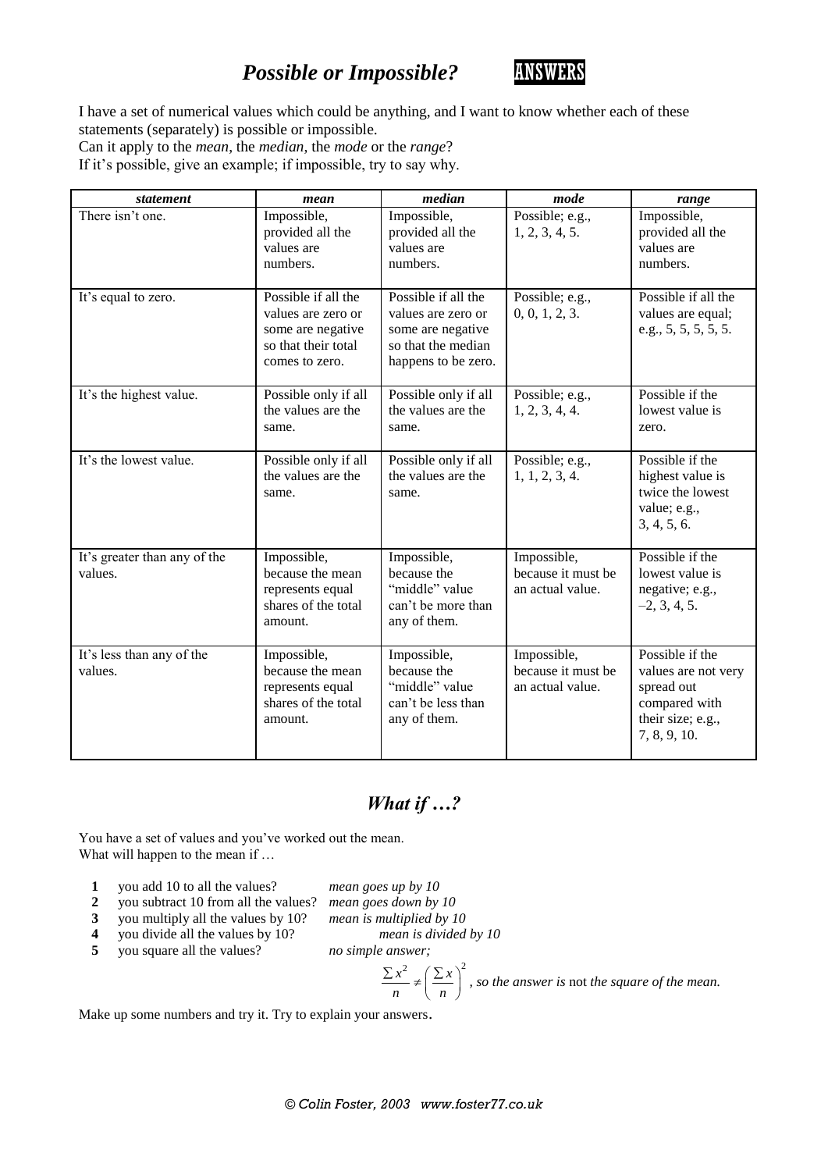# *Possible or Impossible?* **ANSWERS**



I have a set of numerical values which could be anything, and I want to know whether each of these statements (separately) is possible or impossible.

Can it apply to the *mean*, the *median*, the *mode* or the *range*?

If it's possible, give an example; if impossible, try to say why.

| statement                               | mean                                                                                                    | median                                                                                                      | mode                                                  | range                                                                                                      |
|-----------------------------------------|---------------------------------------------------------------------------------------------------------|-------------------------------------------------------------------------------------------------------------|-------------------------------------------------------|------------------------------------------------------------------------------------------------------------|
| There isn't one.                        | Impossible,<br>provided all the<br>values are<br>numbers.                                               | Impossible,<br>provided all the<br>values are<br>numbers.                                                   | Possible; e.g.,<br>1, 2, 3, 4, 5.                     | Impossible,<br>provided all the<br>values are<br>numbers.                                                  |
| It's equal to zero.                     | Possible if all the<br>values are zero or<br>some are negative<br>so that their total<br>comes to zero. | Possible if all the<br>values are zero or<br>some are negative<br>so that the median<br>happens to be zero. | Possible; e.g.,<br>0, 0, 1, 2, 3.                     | Possible if all the<br>values are equal;<br>e.g., 5, 5, 5, 5, 5.                                           |
| It's the highest value.                 | Possible only if all<br>the values are the<br>same.                                                     | Possible only if all<br>the values are the<br>same.                                                         | Possible; e.g.,<br>1, 2, 3, 4, 4.                     | Possible if the<br>lowest value is<br>zero.                                                                |
| It's the lowest value.                  | Possible only if all<br>the values are the<br>same.                                                     | Possible only if all<br>the values are the<br>same.                                                         | Possible; e.g.,<br>1, 1, 2, 3, 4.                     | Possible if the<br>highest value is<br>twice the lowest<br>value; e.g.,<br>3, 4, 5, 6.                     |
| It's greater than any of the<br>values. | Impossible,<br>because the mean<br>represents equal<br>shares of the total<br>amount.                   | Impossible,<br>because the<br>"middle" value<br>can't be more than<br>any of them.                          | Impossible,<br>because it must be<br>an actual value. | Possible if the<br>lowest value is<br>negative; e.g.,<br>$-2, 3, 4, 5.$                                    |
| It's less than any of the<br>values.    | Impossible,<br>because the mean<br>represents equal<br>shares of the total<br>amount.                   | Impossible,<br>because the<br>"middle" value<br>can't be less than<br>any of them.                          | Impossible,<br>because it must be<br>an actual value. | Possible if the<br>values are not very<br>spread out<br>compared with<br>their size; e.g.,<br>7, 8, 9, 10. |

#### *What if …?*

You have a set of values and you've worked out the mean. What will happen to the mean if ...

- **1** you add 10 to all the values? *mean goes up by 10*
- **2** you subtract 10 from all the values? *mean goes down by 10*
- -
- **3** you multiply all the values by 10? *mean is multiplied by 10* you divide all the values by 10?
	-
- **5** you square all the values? *no simple answer;*

 $x^2$   $(\sum x)^2$ *n n*  $\frac{\sum x^2}{n} \neq \left(\frac{\sum x}{n}\right)^2$ , so the answer is not the square of the mean.

Make up some numbers and try it. Try to explain your answers.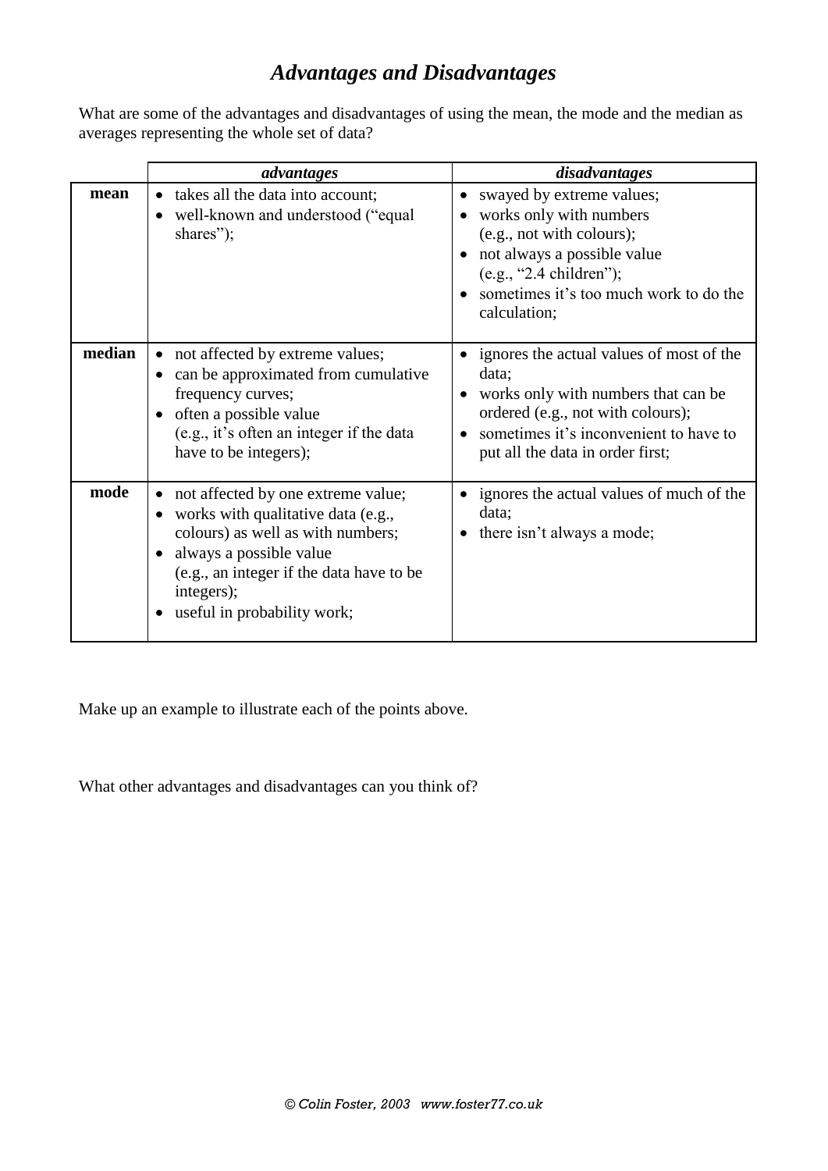# *Advantages and Disadvantages*

What are some of the advantages and disadvantages of using the mean, the mode and the median as averages representing the whole set of data?

|        | advantages                                                                                                                                                                                                                        | disadvantages                                                                                                                                                                                               |
|--------|-----------------------------------------------------------------------------------------------------------------------------------------------------------------------------------------------------------------------------------|-------------------------------------------------------------------------------------------------------------------------------------------------------------------------------------------------------------|
| mean   | takes all the data into account;<br>well-known and understood ("equal"<br>$\bullet$<br>shares");                                                                                                                                  | swayed by extreme values;<br>works only with numbers<br>(e.g., not with colours);<br>not always a possible value<br>$(e.g., "2.4 children")$ ;<br>sometimes it's too much work to do the<br>calculation;    |
| median | not affected by extreme values;<br>can be approximated from cumulative<br>frequency curves;<br>often a possible value<br>$\bullet$<br>(e.g., it's often an integer if the data<br>have to be integers);                           | ignores the actual values of most of the<br>data;<br>works only with numbers that can be<br>ordered (e.g., not with colours);<br>sometimes it's inconvenient to have to<br>put all the data in order first; |
| mode   | not affected by one extreme value;<br>works with qualitative data (e.g.,<br>colours) as well as with numbers;<br>always a possible value<br>(e.g., an integer if the data have to be<br>integers);<br>useful in probability work; | ignores the actual values of much of the<br>data;<br>there isn't always a mode;                                                                                                                             |

Make up an example to illustrate each of the points above.

What other advantages and disadvantages can you think of?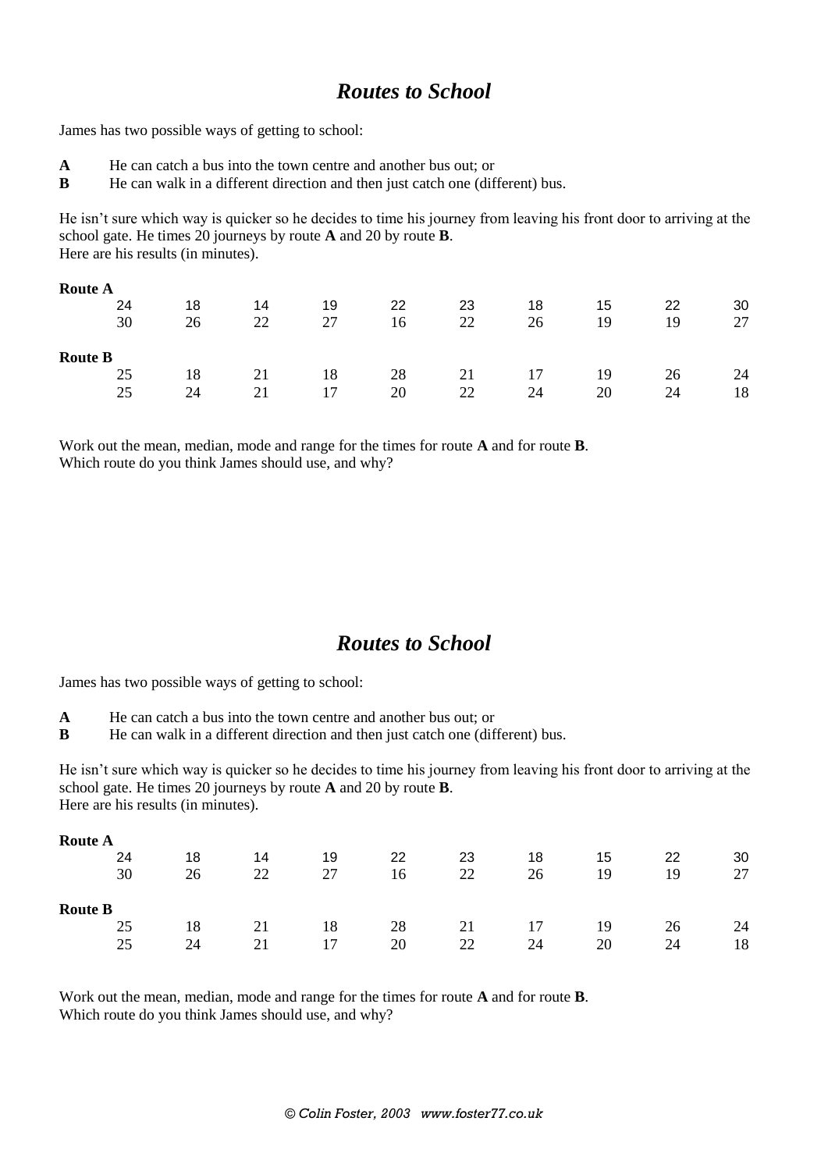## *Routes to School*

James has two possible ways of getting to school:

- **A** He can catch a bus into the town centre and another bus out; or
- **B** He can walk in a different direction and then just catch one (different) bus.

He isn't sure which way is quicker so he decides to time his journey from leaving his front door to arriving at the school gate. He times 20 journeys by route **A** and 20 by route **B**. Here are his results (in minutes).

| <b>Route A</b> |    |    |    |    |    |    |    |    |    |
|----------------|----|----|----|----|----|----|----|----|----|
| 24             | 18 | 14 | 19 | 22 | 23 | 18 | 15 | 22 | 30 |
| 30             | 26 | 22 | 27 | 16 | 22 | 26 | 19 | 19 | 27 |
| <b>Route B</b> |    |    |    |    |    |    |    |    |    |
| 25             | 18 | 21 | 18 | 28 | 21 | 17 | 19 | 26 | 24 |
| 25             | 24 | 21 | 17 | 20 | 22 | 24 | 20 | 24 | 18 |

Work out the mean, median, mode and range for the times for route **A** and for route **B**. Which route do you think James should use, and why?

#### *Routes to School*

James has two possible ways of getting to school:

- **A** He can catch a bus into the town centre and another bus out; or
- **B** He can walk in a different direction and then just catch one (different) bus.

He isn't sure which way is quicker so he decides to time his journey from leaving his front door to arriving at the school gate. He times 20 journeys by route **A** and 20 by route **B**. Here are his results (in minutes).

| <b>Route A</b> |    |    |    |    |    |    |    |    |    |
|----------------|----|----|----|----|----|----|----|----|----|
| 24             | 18 | 14 | 19 | 22 | 23 | 18 | 15 | 22 | 30 |
| 30             | 26 | 22 | 27 | 16 | 22 | 26 | 19 | 19 | 27 |
| <b>Route B</b> |    |    |    |    |    |    |    |    |    |
| 25             | 18 | 21 | 18 | 28 | 21 | 17 | 19 | 26 | 24 |
| 25             | 24 | 21 | 17 | 20 | 22 | 24 | 20 | 24 | 18 |

Work out the mean, median, mode and range for the times for route **A** and for route **B**. Which route do you think James should use, and why?